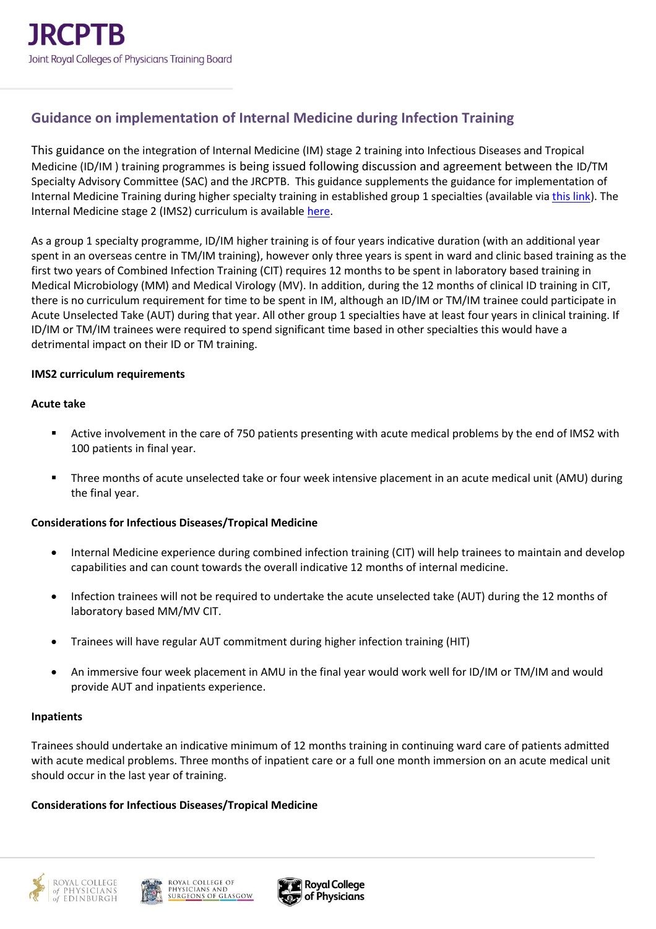# **Guidance on implementation of Internal Medicine during Infection Training**

This guidance on the integration of Internal Medicine (IM) stage 2 training into Infectious Diseases and Tropical Medicine (ID/IM ) training programmes is being issued following discussion and agreement between the ID/TM Specialty Advisory Committee (SAC) and the JRCPTB. This guidance supplements the guidance for implementation of Internal Medicine Training during higher specialty training in established group 1 specialties (available vi[a this link\)](https://www.jrcptb.org.uk/sites/default/files/Guidance%20for%20implementation%20of%20Internal%20Medicine%20during%20higher%20specialty%20training%20in%20established%20group%201%20specialties%20221021.pdf). The Internal Medicine stage 2 (IMS2) curriculum is availabl[e here.](https://www.jrcptb.org.uk/sites/default/files/Internal%20Medicine%20%28Stage%202%29%202022%20curriculum%20FINAL.pdf)

As a group 1 specialty programme, ID/IM higher training is of four years indicative duration (with an additional year spent in an overseas centre in TM/IM training), however only three years is spent in ward and clinic based training as the first two years of Combined Infection Training (CIT) requires 12 months to be spent in laboratory based training in Medical Microbiology (MM) and Medical Virology (MV). In addition, during the 12 months of clinical ID training in CIT, there is no curriculum requirement for time to be spent in IM, although an ID/IM or TM/IM trainee could participate in Acute Unselected Take (AUT) during that year. All other group 1 specialties have at least four years in clinical training. If ID/IM or TM/IM trainees were required to spend significant time based in other specialties this would have a detrimental impact on their ID or TM training.

### **IMS2 curriculum requirements**

### **Acute take**

- Active involvement in the care of 750 patients presenting with acute medical problems by the end of IMS2 with 100 patients in final year.
- Three months of acute unselected take or four week intensive placement in an acute medical unit (AMU) during the final year.

### **Considerations for Infectious Diseases/Tropical Medicine**

- Internal Medicine experience during combined infection training (CIT) will help trainees to maintain and develop capabilities and can count towards the overall indicative 12 months of internal medicine.
- Infection trainees will not be required to undertake the acute unselected take (AUT) during the 12 months of laboratory based MM/MV CIT.
- Trainees will have regular AUT commitment during higher infection training (HIT)
- An immersive four week placement in AMU in the final year would work well for ID/IM or TM/IM and would provide AUT and inpatients experience.

### **Inpatients**

Trainees should undertake an indicative minimum of 12 months training in continuing ward care of patients admitted with acute medical problems. Three months of inpatient care or a full one month immersion on an acute medical unit should occur in the last year of training.

### **Considerations for Infectious Diseases/Tropical Medicine**